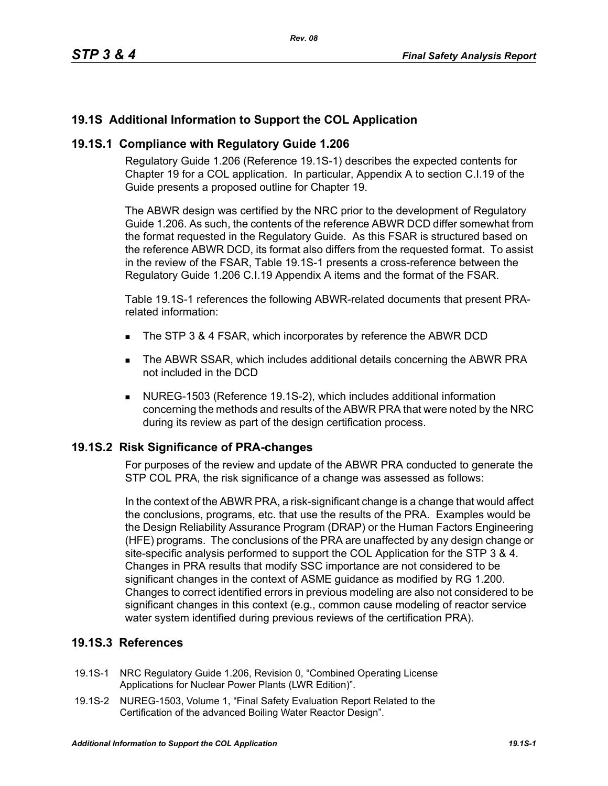# **19.1S Additional Information to Support the COL Application**

### **19.1S.1 Compliance with Regulatory Guide 1.206**

Regulatory Guide 1.206 (Reference 19.1S-1) describes the expected contents for Chapter 19 for a COL application. In particular, Appendix A to section C.I.19 of the Guide presents a proposed outline for Chapter 19.

The ABWR design was certified by the NRC prior to the development of Regulatory Guide 1.206. As such, the contents of the reference ABWR DCD differ somewhat from the format requested in the Regulatory Guide. As this FSAR is structured based on the reference ABWR DCD, its format also differs from the requested format. To assist in the review of the FSAR, Table 19.1S-1 presents a cross-reference between the Regulatory Guide 1.206 C.I.19 Appendix A items and the format of the FSAR.

Table 19.1S-1 references the following ABWR-related documents that present PRArelated information:

- The STP 3 & 4 FSAR, which incorporates by reference the ABWR DCD
- The ABWR SSAR, which includes additional details concerning the ABWR PRA not included in the DCD
- NUREG-1503 (Reference 19.1S-2), which includes additional information concerning the methods and results of the ABWR PRA that were noted by the NRC during its review as part of the design certification process.

### **19.1S.2 Risk Significance of PRA-changes**

For purposes of the review and update of the ABWR PRA conducted to generate the STP COL PRA, the risk significance of a change was assessed as follows:

In the context of the ABWR PRA, a risk-significant change is a change that would affect the conclusions, programs, etc. that use the results of the PRA. Examples would be the Design Reliability Assurance Program (DRAP) or the Human Factors Engineering (HFE) programs. The conclusions of the PRA are unaffected by any design change or site-specific analysis performed to support the COL Application for the STP 3 & 4. Changes in PRA results that modify SSC importance are not considered to be significant changes in the context of ASME guidance as modified by RG 1.200. Changes to correct identified errors in previous modeling are also not considered to be significant changes in this context (e.g., common cause modeling of reactor service water system identified during previous reviews of the certification PRA).

## **19.1S.3 References**

- 19.1S-1 NRC Regulatory Guide 1.206, Revision 0, "Combined Operating License Applications for Nuclear Power Plants (LWR Edition)".
- 19.1S-2 NUREG-1503, Volume 1, "Final Safety Evaluation Report Related to the Certification of the advanced Boiling Water Reactor Design".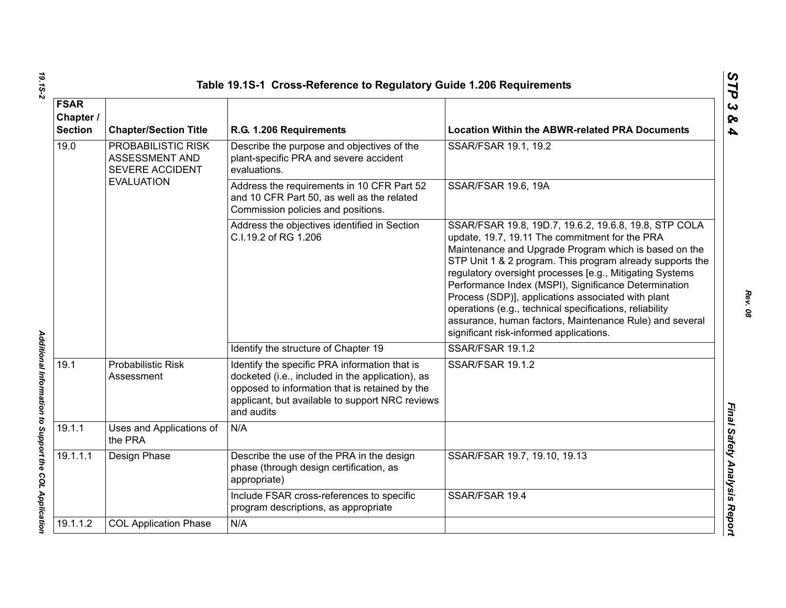|                                                                 |                                                         | Table 19.1S-1 Cross-Reference to Regulatory Guide 1.206 Requirements                                                                                                                                                 |                                                                                                                                                                                                                                                                                                                                                                                                                                                                                                                                                                          |  |
|-----------------------------------------------------------------|---------------------------------------------------------|----------------------------------------------------------------------------------------------------------------------------------------------------------------------------------------------------------------------|--------------------------------------------------------------------------------------------------------------------------------------------------------------------------------------------------------------------------------------------------------------------------------------------------------------------------------------------------------------------------------------------------------------------------------------------------------------------------------------------------------------------------------------------------------------------------|--|
| <b>FSAR</b><br>Chapter /<br><b>Section</b>                      | <b>Chapter/Section Title</b><br>R.G. 1.206 Requirements |                                                                                                                                                                                                                      | <b>Location Within the ABWR-related PRA Documents</b>                                                                                                                                                                                                                                                                                                                                                                                                                                                                                                                    |  |
| 19.0<br>PROBABILISTIC RISK<br>ASSESSMENT AND<br>SEVERE ACCIDENT |                                                         | Describe the purpose and objectives of the<br>plant-specific PRA and severe accident<br>evaluations.                                                                                                                 | SSAR/FSAR 19.1, 19.2                                                                                                                                                                                                                                                                                                                                                                                                                                                                                                                                                     |  |
|                                                                 | <b>EVALUATION</b>                                       | Address the requirements in 10 CFR Part 52<br>and 10 CFR Part 50, as well as the related<br>Commission policies and positions.                                                                                       | <b>SSAR/FSAR 19.6, 19A</b>                                                                                                                                                                                                                                                                                                                                                                                                                                                                                                                                               |  |
|                                                                 |                                                         | Address the objectives identified in Section<br>C.I.19.2 of RG 1.206                                                                                                                                                 | SSAR/FSAR 19.8, 19D.7, 19.6.2, 19.6.8, 19.8, STP COLA<br>update, 19.7, 19.11 The commitment for the PRA<br>Maintenance and Upgrade Program which is based on the<br>STP Unit 1 & 2 program. This program already supports the<br>regulatory oversight processes [e.g., Mitigating Systems<br>Performance Index (MSPI), Significance Determination<br>Process (SDP)], applications associated with plant<br>operations (e.g., technical specifications, reliability<br>assurance, human factors, Maintenance Rule) and several<br>significant risk-informed applications. |  |
|                                                                 |                                                         | Identify the structure of Chapter 19                                                                                                                                                                                 | SSAR/FSAR 19.1.2                                                                                                                                                                                                                                                                                                                                                                                                                                                                                                                                                         |  |
| 19.1                                                            | <b>Probabilistic Risk</b><br>Assessment                 | Identify the specific PRA information that is<br>docketed (i.e., included in the application), as<br>opposed to information that is retained by the<br>applicant, but available to support NRC reviews<br>and audits | SSAR/FSAR 19.1.2                                                                                                                                                                                                                                                                                                                                                                                                                                                                                                                                                         |  |
| 19.1.1                                                          | Uses and Applications of<br>the PRA                     | N/A                                                                                                                                                                                                                  |                                                                                                                                                                                                                                                                                                                                                                                                                                                                                                                                                                          |  |
| 19.1.1.1                                                        | Design Phase                                            | Describe the use of the PRA in the design<br>phase (through design certification, as<br>appropriate)                                                                                                                 | SSAR/FSAR 19.7, 19.10, 19.13                                                                                                                                                                                                                                                                                                                                                                                                                                                                                                                                             |  |
|                                                                 |                                                         | Include FSAR cross-references to specific<br>program descriptions, as appropriate                                                                                                                                    | SSAR/FSAR 19.4                                                                                                                                                                                                                                                                                                                                                                                                                                                                                                                                                           |  |
| 19.1.1.2                                                        | <b>COL Application Phase</b>                            | N/A                                                                                                                                                                                                                  |                                                                                                                                                                                                                                                                                                                                                                                                                                                                                                                                                                          |  |
|                                                                 |                                                         |                                                                                                                                                                                                                      |                                                                                                                                                                                                                                                                                                                                                                                                                                                                                                                                                                          |  |

*Rev. 08*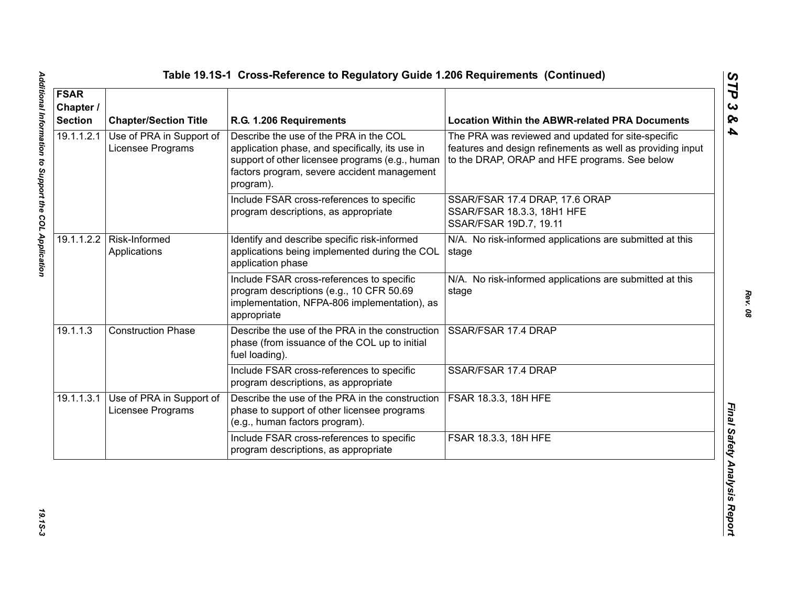| <b>FSAR</b><br>Chapter /<br><b>Section</b> | <b>Chapter/Section Title</b>                  | R.G. 1.206 Requirements                                                                                                                                                                                  | <b>Location Within the ABWR-related PRA Documents</b>                                                                                                             |
|--------------------------------------------|-----------------------------------------------|----------------------------------------------------------------------------------------------------------------------------------------------------------------------------------------------------------|-------------------------------------------------------------------------------------------------------------------------------------------------------------------|
| 19.1.1.2.1                                 | Use of PRA in Support of<br>Licensee Programs | Describe the use of the PRA in the COL<br>application phase, and specifically, its use in<br>support of other licensee programs (e.g., human<br>factors program, severe accident management<br>program). | The PRA was reviewed and updated for site-specific<br>features and design refinements as well as providing input<br>to the DRAP, ORAP and HFE programs. See below |
|                                            |                                               | Include FSAR cross-references to specific<br>program descriptions, as appropriate                                                                                                                        | SSAR/FSAR 17.4 DRAP, 17.6 ORAP<br>SSAR/FSAR 18.3.3, 18H1 HFE<br>SSAR/FSAR 19D.7, 19.11                                                                            |
|                                            | 19.1.1.2.2   Risk-Informed<br>Applications    | Identify and describe specific risk-informed<br>applications being implemented during the COL<br>application phase                                                                                       | N/A. No risk-informed applications are submitted at this<br>stage                                                                                                 |
|                                            |                                               | Include FSAR cross-references to specific<br>program descriptions (e.g., 10 CFR 50.69<br>implementation, NFPA-806 implementation), as<br>appropriate                                                     | N/A. No risk-informed applications are submitted at this<br>stage                                                                                                 |
| 19.1.1.3                                   | <b>Construction Phase</b>                     | Describe the use of the PRA in the construction<br>phase (from issuance of the COL up to initial<br>fuel loading).                                                                                       | SSAR/FSAR 17.4 DRAP                                                                                                                                               |
|                                            |                                               | Include FSAR cross-references to specific<br>program descriptions, as appropriate                                                                                                                        | SSAR/FSAR 17.4 DRAP                                                                                                                                               |
| 19.1.1.3.1                                 | Use of PRA in Support of<br>Licensee Programs | Describe the use of the PRA in the construction<br>phase to support of other licensee programs<br>(e.g., human factors program).                                                                         | <b>FSAR 18.3.3, 18H HFE</b>                                                                                                                                       |
|                                            |                                               | Include FSAR cross-references to specific<br>program descriptions, as appropriate                                                                                                                        | FSAR 18.3.3, 18H HFE                                                                                                                                              |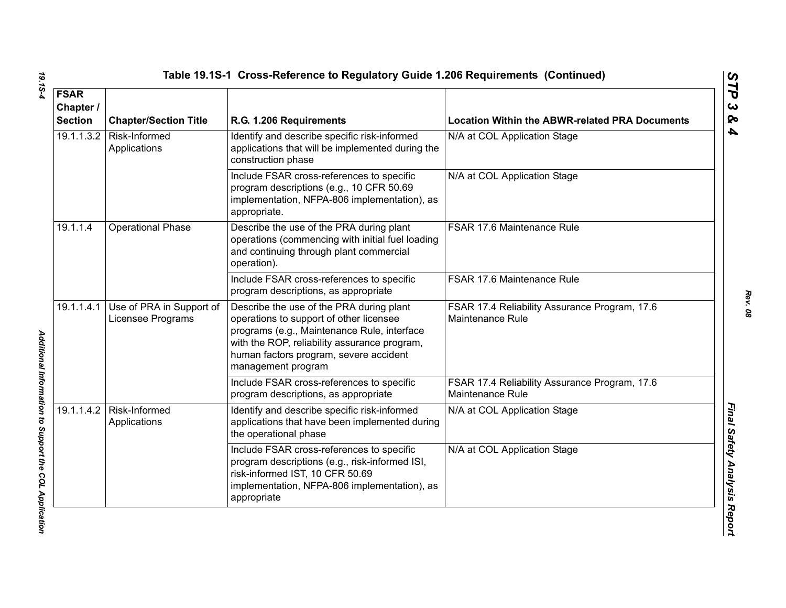| <b>FSAR</b><br>Chapter /<br><b>Section</b> | <b>Chapter/Section Title</b>                  | R.G. 1.206 Requirements                                                                                                                                                                                                                            | <b>Location Within the ABWR-related PRA Documents</b>             |
|--------------------------------------------|-----------------------------------------------|----------------------------------------------------------------------------------------------------------------------------------------------------------------------------------------------------------------------------------------------------|-------------------------------------------------------------------|
| 19.1.1.3.2                                 | Risk-Informed<br>Applications                 | Identify and describe specific risk-informed<br>applications that will be implemented during the<br>construction phase                                                                                                                             | N/A at COL Application Stage                                      |
|                                            |                                               | Include FSAR cross-references to specific<br>program descriptions (e.g., 10 CFR 50.69<br>implementation, NFPA-806 implementation), as<br>appropriate.                                                                                              | N/A at COL Application Stage                                      |
| 19.1.1.4                                   | <b>Operational Phase</b>                      | Describe the use of the PRA during plant<br>operations (commencing with initial fuel loading<br>and continuing through plant commercial<br>operation).                                                                                             | FSAR 17.6 Maintenance Rule                                        |
|                                            |                                               | Include FSAR cross-references to specific<br>program descriptions, as appropriate                                                                                                                                                                  | FSAR 17.6 Maintenance Rule                                        |
| 19.1.1.4.1                                 | Use of PRA in Support of<br>Licensee Programs | Describe the use of the PRA during plant<br>operations to support of other licensee<br>programs (e.g., Maintenance Rule, interface<br>with the ROP, reliability assurance program,<br>human factors program, severe accident<br>management program | FSAR 17.4 Reliability Assurance Program, 17.6<br>Maintenance Rule |
|                                            |                                               | Include FSAR cross-references to specific<br>program descriptions, as appropriate                                                                                                                                                                  | FSAR 17.4 Reliability Assurance Program, 17.6<br>Maintenance Rule |
| 19.1.1.4.2                                 | Risk-Informed<br>Applications                 | Identify and describe specific risk-informed<br>applications that have been implemented during<br>the operational phase                                                                                                                            | N/A at COL Application Stage                                      |
|                                            |                                               | Include FSAR cross-references to specific<br>program descriptions (e.g., risk-informed ISI,<br>risk-informed IST, 10 CFR 50.69<br>implementation, NFPA-806 implementation), as<br>appropriate                                                      | N/A at COL Application Stage                                      |

19.15-4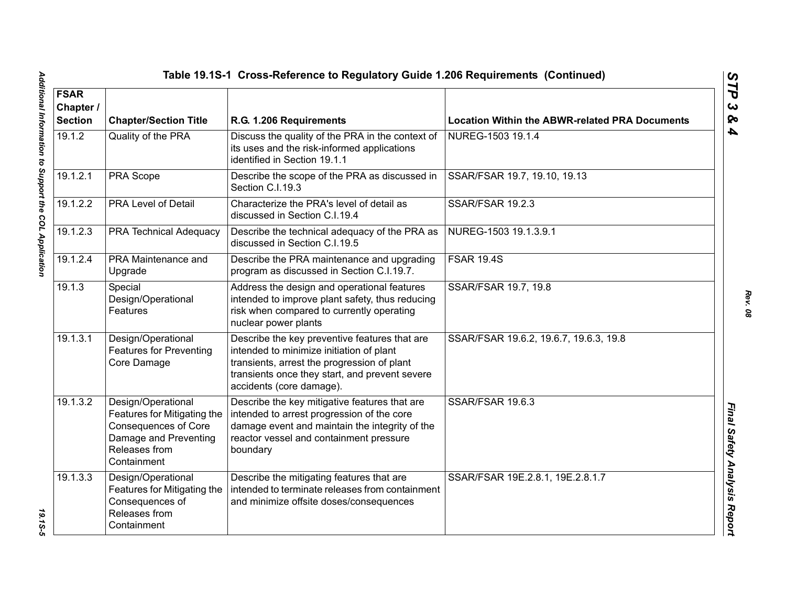| Table 19.1S-1 Cross-Reference to Regulatory Guide 1.206 Requirements (Continued) |                                                                                                                                           |                                                                                                                                                                                                                        |                                                       |  |
|----------------------------------------------------------------------------------|-------------------------------------------------------------------------------------------------------------------------------------------|------------------------------------------------------------------------------------------------------------------------------------------------------------------------------------------------------------------------|-------------------------------------------------------|--|
| <b>FSAR</b><br>Chapter /<br><b>Section</b>                                       | <b>Chapter/Section Title</b><br>R.G. 1.206 Requirements                                                                                   |                                                                                                                                                                                                                        | <b>Location Within the ABWR-related PRA Documents</b> |  |
| 19.1.2                                                                           | Quality of the PRA                                                                                                                        | Discuss the quality of the PRA in the context of<br>its uses and the risk-informed applications<br>identified in Section 19.1.1                                                                                        | NUREG-1503 19.1.4                                     |  |
| 19.1.2.1                                                                         | PRA Scope                                                                                                                                 | Describe the scope of the PRA as discussed in<br>Section C.I.19.3                                                                                                                                                      | SSAR/FSAR 19.7, 19.10, 19.13                          |  |
| 19.1.2.2                                                                         | <b>PRA Level of Detail</b>                                                                                                                | Characterize the PRA's level of detail as<br>discussed in Section C.I.19.4                                                                                                                                             | <b>SSAR/FSAR 19.2.3</b>                               |  |
| 19.1.2.3                                                                         | <b>PRA Technical Adequacy</b>                                                                                                             | Describe the technical adequacy of the PRA as<br>discussed in Section C.I.19.5                                                                                                                                         | NUREG-1503 19.1.3.9.1                                 |  |
| 19.1.2.4                                                                         | PRA Maintenance and<br>Upgrade                                                                                                            | Describe the PRA maintenance and upgrading<br>program as discussed in Section C.I.19.7.                                                                                                                                | <b>FSAR 19.4S</b>                                     |  |
| 19.1.3                                                                           | Special<br>Design/Operational<br>Features                                                                                                 | Address the design and operational features<br>intended to improve plant safety, thus reducing<br>risk when compared to currently operating<br>nuclear power plants                                                    | SSAR/FSAR 19.7, 19.8                                  |  |
| 19.1.3.1                                                                         | Design/Operational<br><b>Features for Preventing</b><br>Core Damage                                                                       | Describe the key preventive features that are<br>intended to minimize initiation of plant<br>transients, arrest the progression of plant<br>transients once they start, and prevent severe<br>accidents (core damage). | SSAR/FSAR 19.6.2, 19.6.7, 19.6.3, 19.8                |  |
| 19.1.3.2                                                                         | Design/Operational<br>Features for Mitigating the<br><b>Consequences of Core</b><br>Damage and Preventing<br>Releases from<br>Containment | Describe the key mitigative features that are<br>intended to arrest progression of the core<br>damage event and maintain the integrity of the<br>reactor vessel and containment pressure<br>boundary                   | SSAR/FSAR 19.6.3                                      |  |
| 19.1.3.3                                                                         | Design/Operational<br>Features for Mitigating the<br>Consequences of<br>Releases from<br>Containment                                      | Describe the mitigating features that are<br>intended to terminate releases from containment<br>and minimize offsite doses/consequences                                                                                | SSAR/FSAR 19E.2.8.1, 19E.2.8.1.7                      |  |

*STP 3 & 4*

19.15-5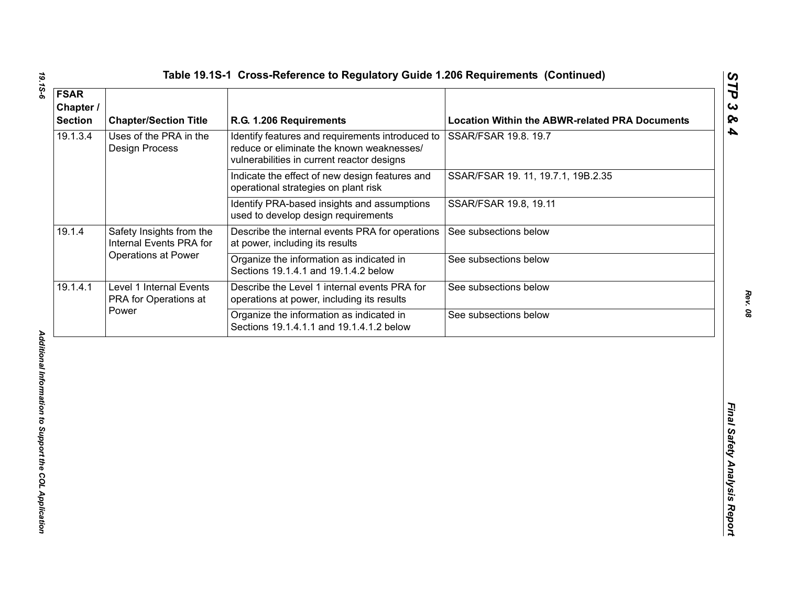| 19.1.3.4<br>Uses of the PRA in the<br>Identify features and requirements introduced to<br>SSAR/FSAR 19.8. 19.7<br>reduce or eliminate the known weaknesses/<br><b>Design Process</b><br>vulnerabilities in current reactor designs<br>SSAR/FSAR 19. 11, 19.7.1, 19B.2.35<br>Indicate the effect of new design features and<br>operational strategies on plant risk<br>Identify PRA-based insights and assumptions<br>SSAR/FSAR 19.8, 19.11<br>used to develop design requirements<br>19.1.4<br>Safety Insights from the<br>Describe the internal events PRA for operations<br>See subsections below<br>Internal Events PRA for<br>at power, including its results<br><b>Operations at Power</b><br>Organize the information as indicated in<br>See subsections below<br>Sections 19.1.4.1 and 19.1.4.2 below<br>19.1.4.1<br>Level 1 Internal Events<br>Describe the Level 1 internal events PRA for<br>See subsections below<br>PRA for Operations at<br>operations at power, including its results<br>Power<br>Organize the information as indicated in<br>See subsections below<br>Sections 19.1.4.1.1 and 19.1.4.1.2 below | <b>FSAR</b><br>Chapter /<br><b>Section</b> | <b>Chapter/Section Title</b> | R.G. 1.206 Requirements | <b>Location Within the ABWR-related PRA Documents</b> |
|-------------------------------------------------------------------------------------------------------------------------------------------------------------------------------------------------------------------------------------------------------------------------------------------------------------------------------------------------------------------------------------------------------------------------------------------------------------------------------------------------------------------------------------------------------------------------------------------------------------------------------------------------------------------------------------------------------------------------------------------------------------------------------------------------------------------------------------------------------------------------------------------------------------------------------------------------------------------------------------------------------------------------------------------------------------------------------------------------------------------------------|--------------------------------------------|------------------------------|-------------------------|-------------------------------------------------------|
|                                                                                                                                                                                                                                                                                                                                                                                                                                                                                                                                                                                                                                                                                                                                                                                                                                                                                                                                                                                                                                                                                                                               |                                            |                              |                         |                                                       |
|                                                                                                                                                                                                                                                                                                                                                                                                                                                                                                                                                                                                                                                                                                                                                                                                                                                                                                                                                                                                                                                                                                                               |                                            |                              |                         |                                                       |
|                                                                                                                                                                                                                                                                                                                                                                                                                                                                                                                                                                                                                                                                                                                                                                                                                                                                                                                                                                                                                                                                                                                               |                                            |                              |                         |                                                       |
|                                                                                                                                                                                                                                                                                                                                                                                                                                                                                                                                                                                                                                                                                                                                                                                                                                                                                                                                                                                                                                                                                                                               |                                            |                              |                         |                                                       |
|                                                                                                                                                                                                                                                                                                                                                                                                                                                                                                                                                                                                                                                                                                                                                                                                                                                                                                                                                                                                                                                                                                                               |                                            |                              |                         |                                                       |
|                                                                                                                                                                                                                                                                                                                                                                                                                                                                                                                                                                                                                                                                                                                                                                                                                                                                                                                                                                                                                                                                                                                               |                                            |                              |                         |                                                       |
|                                                                                                                                                                                                                                                                                                                                                                                                                                                                                                                                                                                                                                                                                                                                                                                                                                                                                                                                                                                                                                                                                                                               |                                            |                              |                         |                                                       |
|                                                                                                                                                                                                                                                                                                                                                                                                                                                                                                                                                                                                                                                                                                                                                                                                                                                                                                                                                                                                                                                                                                                               |                                            |                              |                         |                                                       |

19.15-6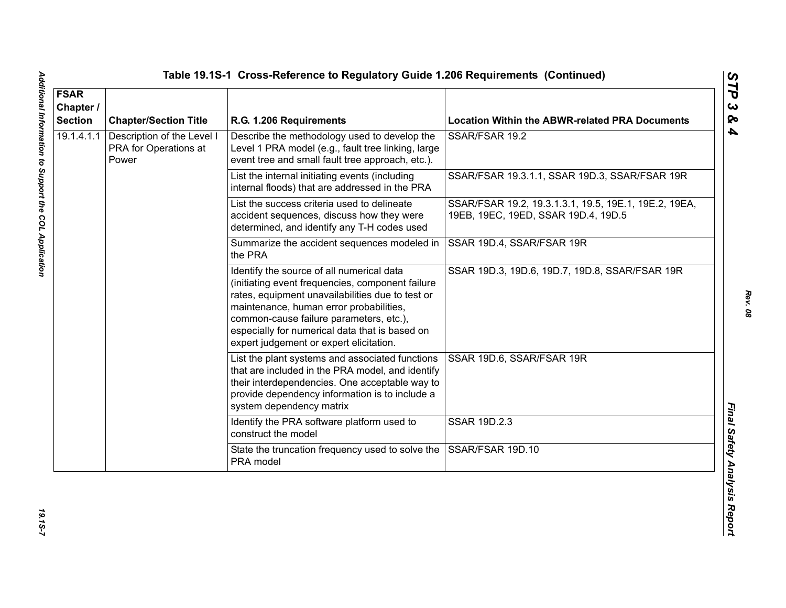| <b>FSAR</b><br>Chapter /<br><b>Section</b> | <b>Chapter/Section Title</b>                                 | R.G. 1.206 Requirements                                                                                                                                                                                                                                                                                                              | <b>Location Within the ABWR-related PRA Documents</b>                                        |
|--------------------------------------------|--------------------------------------------------------------|--------------------------------------------------------------------------------------------------------------------------------------------------------------------------------------------------------------------------------------------------------------------------------------------------------------------------------------|----------------------------------------------------------------------------------------------|
| 19.1.4.1.1                                 | Description of the Level I<br>PRA for Operations at<br>Power | Describe the methodology used to develop the<br>Level 1 PRA model (e.g., fault tree linking, large<br>event tree and small fault tree approach, etc.).                                                                                                                                                                               | SSAR/FSAR 19.2                                                                               |
|                                            |                                                              | List the internal initiating events (including<br>internal floods) that are addressed in the PRA                                                                                                                                                                                                                                     | SSAR/FSAR 19.3.1.1, SSAR 19D.3, SSAR/FSAR 19R                                                |
|                                            |                                                              | List the success criteria used to delineate<br>accident sequences, discuss how they were<br>determined, and identify any T-H codes used                                                                                                                                                                                              | SSAR/FSAR 19.2, 19.3.1.3.1, 19.5, 19E.1, 19E.2, 19EA,<br>19EB, 19EC, 19ED, SSAR 19D.4, 19D.5 |
|                                            |                                                              | Summarize the accident sequences modeled in<br>the PRA                                                                                                                                                                                                                                                                               | SSAR 19D.4, SSAR/FSAR 19R                                                                    |
|                                            |                                                              | Identify the source of all numerical data<br>(initiating event frequencies, component failure<br>rates, equipment unavailabilities due to test or<br>maintenance, human error probabilities,<br>common-cause failure parameters, etc.),<br>especially for numerical data that is based on<br>expert judgement or expert elicitation. | SSAR 19D.3, 19D.6, 19D.7, 19D.8, SSAR/FSAR 19R                                               |
|                                            |                                                              | List the plant systems and associated functions<br>that are included in the PRA model, and identify<br>their interdependencies. One acceptable way to<br>provide dependency information is to include a<br>system dependency matrix                                                                                                  | SSAR 19D.6, SSAR/FSAR 19R                                                                    |
|                                            |                                                              | Identify the PRA software platform used to<br>construct the model                                                                                                                                                                                                                                                                    | SSAR 19D.2.3                                                                                 |
|                                            |                                                              | State the truncation frequency used to solve the<br>PRA model                                                                                                                                                                                                                                                                        | SSAR/FSAR 19D.10                                                                             |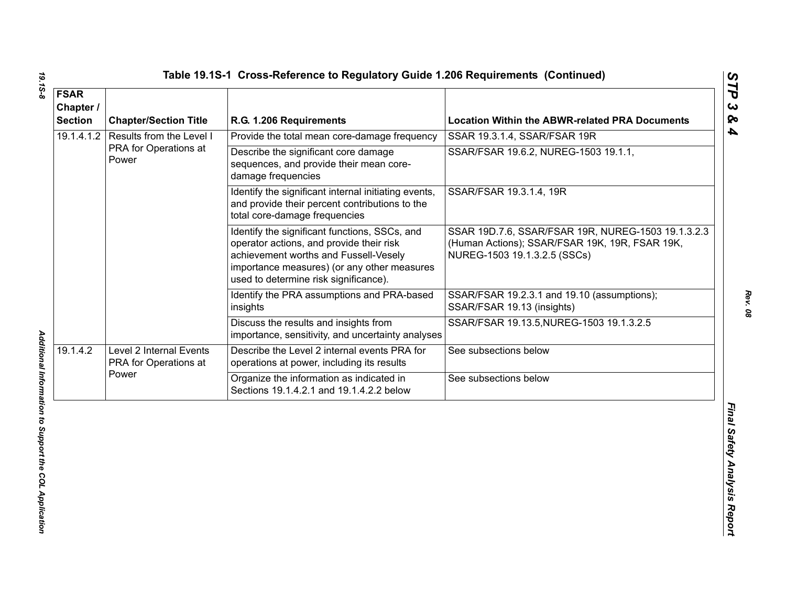| <b>FSAR</b><br>Chapter /<br><b>Section</b> | <b>Chapter/Section Title</b>                     | R.G. 1.206 Requirements                                                                                                                                                                                                    | <b>Location Within the ABWR-related PRA Documents</b>                                                                                |
|--------------------------------------------|--------------------------------------------------|----------------------------------------------------------------------------------------------------------------------------------------------------------------------------------------------------------------------------|--------------------------------------------------------------------------------------------------------------------------------------|
| 19.1.4.1.2                                 | Results from the Level I                         | Provide the total mean core-damage frequency                                                                                                                                                                               | SSAR 19.3.1.4, SSAR/FSAR 19R                                                                                                         |
|                                            | PRA for Operations at<br>Power                   | Describe the significant core damage<br>sequences, and provide their mean core-<br>damage frequencies                                                                                                                      | SSAR/FSAR 19.6.2, NUREG-1503 19.1.1,                                                                                                 |
|                                            |                                                  | Identify the significant internal initiating events,<br>and provide their percent contributions to the<br>total core-damage frequencies                                                                                    | SSAR/FSAR 19.3.1.4, 19R                                                                                                              |
|                                            |                                                  | Identify the significant functions, SSCs, and<br>operator actions, and provide their risk<br>achievement worths and Fussell-Vesely<br>importance measures) (or any other measures<br>used to determine risk significance). | SSAR 19D.7.6, SSAR/FSAR 19R, NUREG-1503 19.1.3.2.3<br>(Human Actions); SSAR/FSAR 19K, 19R, FSAR 19K,<br>NUREG-1503 19.1.3.2.5 (SSCs) |
|                                            |                                                  | Identify the PRA assumptions and PRA-based<br>insights                                                                                                                                                                     | SSAR/FSAR 19.2.3.1 and 19.10 (assumptions);<br>SSAR/FSAR 19.13 (insights)                                                            |
|                                            |                                                  | Discuss the results and insights from<br>importance, sensitivity, and uncertainty analyses                                                                                                                                 | SSAR/FSAR 19.13.5, NUREG-1503 19.1.3.2.5                                                                                             |
| 19.1.4.2                                   | Level 2 Internal Events<br>PRA for Operations at | Describe the Level 2 internal events PRA for<br>operations at power, including its results                                                                                                                                 | See subsections below                                                                                                                |
|                                            | Power                                            | Organize the information as indicated in<br>Sections 19.1.4.2.1 and 19.1.4.2.2 below                                                                                                                                       | See subsections below                                                                                                                |
|                                            |                                                  |                                                                                                                                                                                                                            |                                                                                                                                      |

19.15-8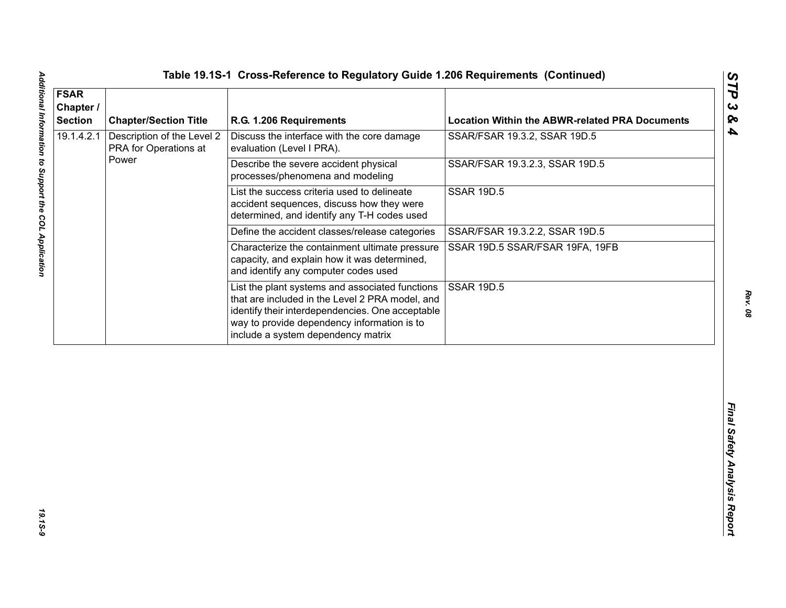| 19.1.4.2.1<br>Description of the Level 2<br>Discuss the interface with the core damage<br>PRA for Operations at<br>evaluation (Level I PRA).<br>Power<br>Describe the severe accident physical<br>processes/phenomena and modeling          | SSAR/FSAR 19.3.2, SSAR 19D.5<br>SSAR/FSAR 19.3.2.3, SSAR 19D.5 |
|---------------------------------------------------------------------------------------------------------------------------------------------------------------------------------------------------------------------------------------------|----------------------------------------------------------------|
|                                                                                                                                                                                                                                             |                                                                |
|                                                                                                                                                                                                                                             |                                                                |
| List the success criteria used to delineate<br>accident sequences, discuss how they were<br>determined, and identify any T-H codes used                                                                                                     | <b>SSAR 19D.5</b>                                              |
| Define the accident classes/release categories                                                                                                                                                                                              | SSAR/FSAR 19.3.2.2, SSAR 19D.5                                 |
| Characterize the containment ultimate pressure<br>capacity, and explain how it was determined,<br>and identify any computer codes used                                                                                                      | SSAR 19D.5 SSAR/FSAR 19FA, 19FB                                |
| List the plant systems and associated functions<br>that are included in the Level 2 PRA model, and<br>identify their interdependencies. One acceptable<br>way to provide dependency information is to<br>include a system dependency matrix | <b>SSAR 19D.5</b>                                              |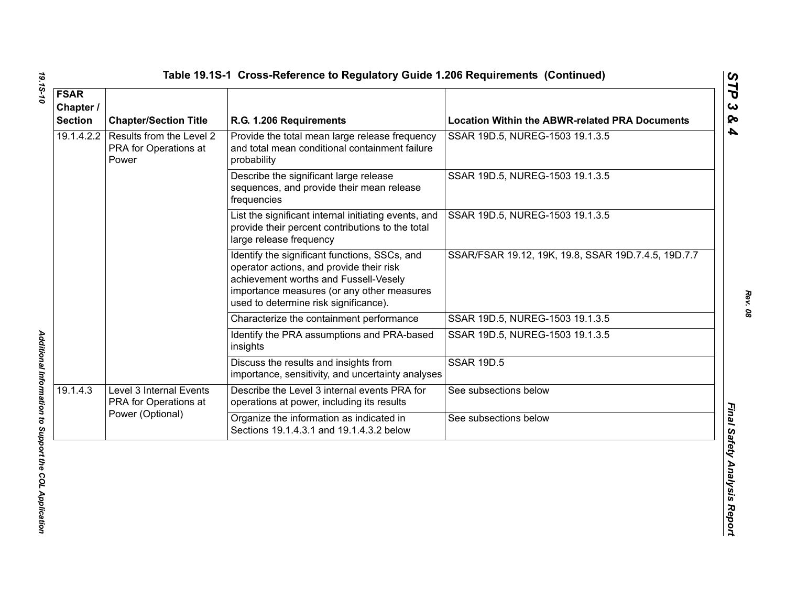| <b>FSAR</b><br>Chapter /<br><b>Section</b> | <b>Chapter/Section Title</b>                                         | R.G. 1.206 Requirements                                                                                                                                                                                                   | <b>Location Within the ABWR-related PRA Documents</b> |
|--------------------------------------------|----------------------------------------------------------------------|---------------------------------------------------------------------------------------------------------------------------------------------------------------------------------------------------------------------------|-------------------------------------------------------|
| 19.1.4.2.2                                 | Results from the Level 2<br>PRA for Operations at<br>Power           | Provide the total mean large release frequency<br>and total mean conditional containment failure<br>probability                                                                                                           | SSAR 19D.5, NUREG-1503 19.1.3.5                       |
|                                            |                                                                      | Describe the significant large release<br>sequences, and provide their mean release<br>frequencies                                                                                                                        | SSAR 19D.5, NUREG-1503 19.1.3.5                       |
|                                            |                                                                      | List the significant internal initiating events, and<br>provide their percent contributions to the total<br>large release frequency                                                                                       | SSAR 19D.5, NUREG-1503 19.1.3.5                       |
|                                            |                                                                      | Identify the significant functions, SSCs, and<br>operator actions, and provide their risk<br>achievement worths and Fussell-Vesely<br>importance measures (or any other measures<br>used to determine risk significance). | SSAR/FSAR 19.12, 19K, 19.8, SSAR 19D.7.4.5, 19D.7.7   |
|                                            |                                                                      | Characterize the containment performance                                                                                                                                                                                  | SSAR 19D.5, NUREG-1503 19.1.3.5                       |
|                                            |                                                                      | Identify the PRA assumptions and PRA-based<br>insights                                                                                                                                                                    | SSAR 19D.5, NUREG-1503 19.1.3.5                       |
|                                            |                                                                      | Discuss the results and insights from<br>importance, sensitivity, and uncertainty analyses                                                                                                                                | <b>SSAR 19D.5</b>                                     |
| 19.1.4.3                                   | Level 3 Internal Events<br>PRA for Operations at<br>Power (Optional) | Describe the Level 3 internal events PRA for<br>operations at power, including its results                                                                                                                                | See subsections below                                 |
|                                            |                                                                      | Organize the information as indicated in<br>Sections 19.1.4.3.1 and 19.1.4.3.2 below                                                                                                                                      | See subsections below                                 |

19.15-10

*Rev. 08*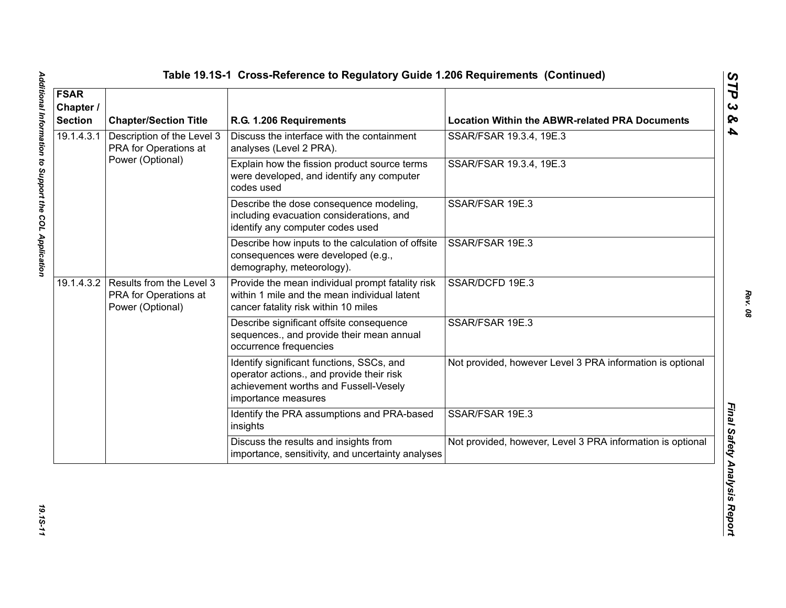| <b>FSAR</b><br>Chapter /<br><b>Section</b> | <b>Chapter/Section Title</b>                                                     | R.G. 1.206 Requirements                                                                                                                                | <b>Location Within the ABWR-related PRA Documents</b>      |
|--------------------------------------------|----------------------------------------------------------------------------------|--------------------------------------------------------------------------------------------------------------------------------------------------------|------------------------------------------------------------|
| 19.1.4.3.1                                 | Description of the Level 3<br>PRA for Operations at                              | Discuss the interface with the containment<br>analyses (Level 2 PRA).                                                                                  | SSAR/FSAR 19.3.4, 19E.3                                    |
|                                            | Power (Optional)                                                                 | Explain how the fission product source terms<br>were developed, and identify any computer<br>codes used                                                | SSAR/FSAR 19.3.4, 19E.3                                    |
|                                            |                                                                                  | Describe the dose consequence modeling,<br>including evacuation considerations, and<br>identify any computer codes used                                | SSAR/FSAR 19E.3                                            |
|                                            |                                                                                  | Describe how inputs to the calculation of offsite<br>consequences were developed (e.g.,<br>demography, meteorology).                                   | SSAR/FSAR 19E.3                                            |
|                                            | 19.1.4.3.2 Results from the Level 3<br>PRA for Operations at<br>Power (Optional) | Provide the mean individual prompt fatality risk<br>within 1 mile and the mean individual latent<br>cancer fatality risk within 10 miles               | SSAR/DCFD 19E.3                                            |
|                                            |                                                                                  | Describe significant offsite consequence<br>sequences., and provide their mean annual<br>occurrence frequencies                                        | SSAR/FSAR 19E.3                                            |
|                                            |                                                                                  | Identify significant functions, SSCs, and<br>operator actions., and provide their risk<br>achievement worths and Fussell-Vesely<br>importance measures | Not provided, however Level 3 PRA information is optional  |
|                                            |                                                                                  | Identify the PRA assumptions and PRA-based<br>insights                                                                                                 | SSAR/FSAR 19E.3                                            |
|                                            |                                                                                  | Discuss the results and insights from<br>importance, sensitivity, and uncertainty analyses                                                             | Not provided, however, Level 3 PRA information is optional |

19.15-11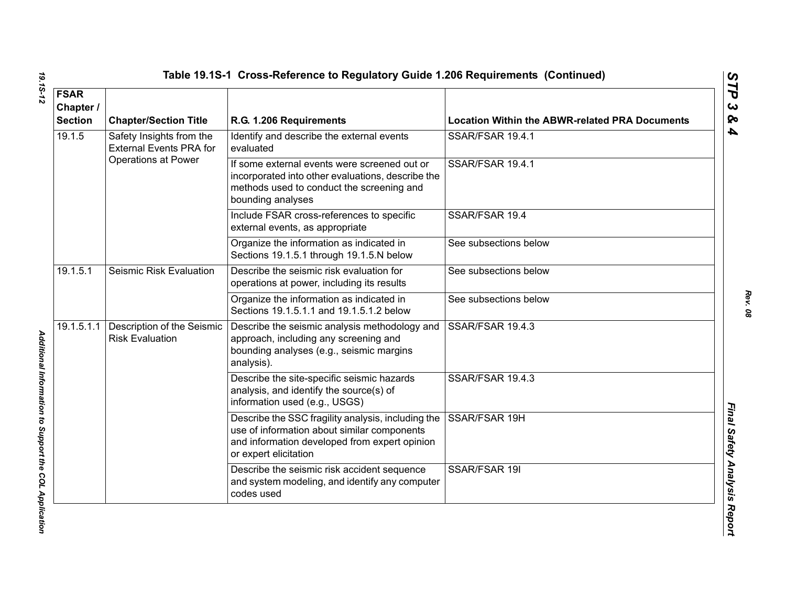|  | Table 19.1S-1  Cross-Reference to Regulatory Guide 1.206 Requirements  (Continueo |  |  |  |  |
|--|-----------------------------------------------------------------------------------|--|--|--|--|
|--|-----------------------------------------------------------------------------------|--|--|--|--|

| <b>FSAR</b>                                           |                                                            |                                                                                                                                                                             |                                                       |
|-------------------------------------------------------|------------------------------------------------------------|-----------------------------------------------------------------------------------------------------------------------------------------------------------------------------|-------------------------------------------------------|
| Chapter /<br><b>Section</b>                           | <b>Chapter/Section Title</b>                               | R.G. 1.206 Requirements                                                                                                                                                     | <b>Location Within the ABWR-related PRA Documents</b> |
| 19.1.5                                                | Safety Insights from the<br><b>External Events PRA for</b> | Identify and describe the external events<br>evaluated                                                                                                                      | SSAR/FSAR 19.4.1                                      |
|                                                       | <b>Operations at Power</b>                                 | If some external events were screened out or<br>incorporated into other evaluations, describe the<br>methods used to conduct the screening and<br>bounding analyses         | SSAR/FSAR 19.4.1                                      |
|                                                       |                                                            | Include FSAR cross-references to specific<br>external events, as appropriate                                                                                                | SSAR/FSAR 19.4                                        |
|                                                       |                                                            | Organize the information as indicated in<br>Sections 19.1.5.1 through 19.1.5.N below                                                                                        | See subsections below                                 |
| 19.1.5.1                                              | Seismic Risk Evaluation                                    | Describe the seismic risk evaluation for<br>operations at power, including its results                                                                                      | See subsections below                                 |
|                                                       |                                                            | Organize the information as indicated in<br>Sections 19.1.5.1.1 and 19.1.5.1.2 below                                                                                        | See subsections below                                 |
| 19.1.5.1.1                                            | Description of the Seismic<br><b>Risk Evaluation</b>       | Describe the seismic analysis methodology and<br>approach, including any screening and<br>bounding analyses (e.g., seismic margins<br>analysis).                            | SSAR/FSAR 19.4.3                                      |
| Additional Information to Support the COL Application |                                                            | Describe the site-specific seismic hazards<br>analysis, and identify the source(s) of<br>information used (e.g., USGS)                                                      | SSAR/FSAR 19.4.3                                      |
|                                                       |                                                            | Describe the SSC fragility analysis, including the<br>use of information about similar components<br>and information developed from expert opinion<br>or expert elicitation | SSAR/FSAR 19H                                         |
|                                                       |                                                            | Describe the seismic risk accident sequence<br>and system modeling, and identify any computer<br>codes used                                                                 | SSAR/FSAR 19I                                         |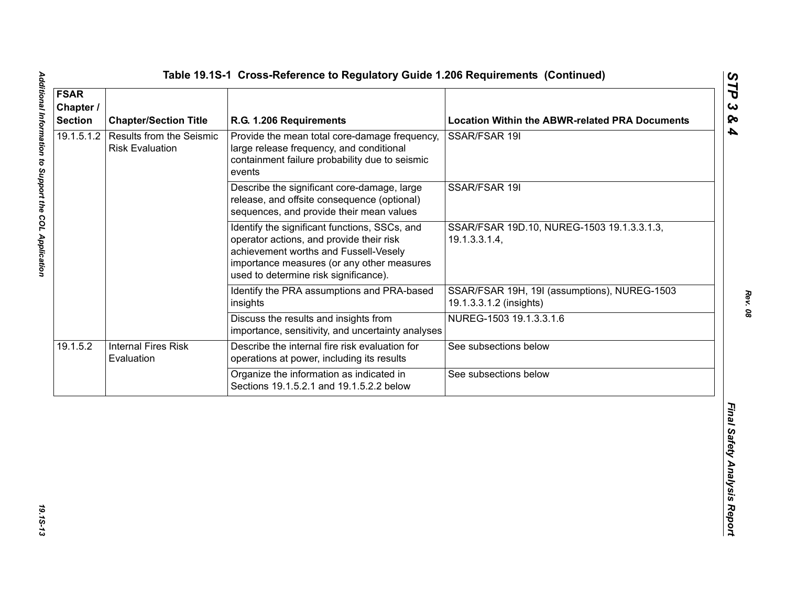| <b>FSAR</b><br>Chapter /<br><b>Section</b> | <b>Chapter/Section Title</b>                              | R.G. 1.206 Requirements                                                                                                                                                                                                   | <b>Location Within the ABWR-related PRA Documents</b>                   |
|--------------------------------------------|-----------------------------------------------------------|---------------------------------------------------------------------------------------------------------------------------------------------------------------------------------------------------------------------------|-------------------------------------------------------------------------|
| 19.1.5.1.2                                 | <b>Results from the Seismic</b><br><b>Risk Evaluation</b> | Provide the mean total core-damage frequency,<br>large release frequency, and conditional<br>containment failure probability due to seismic<br>events                                                                     | SSAR/FSAR 19I                                                           |
|                                            |                                                           | Describe the significant core-damage, large<br>release, and offsite consequence (optional)<br>sequences, and provide their mean values                                                                                    | SSAR/FSAR 19I                                                           |
|                                            |                                                           | Identify the significant functions, SSCs, and<br>operator actions, and provide their risk<br>achievement worths and Fussell-Vesely<br>importance measures (or any other measures<br>used to determine risk significance). | SSAR/FSAR 19D.10, NUREG-1503 19.1.3.3.1.3,<br>19.1.3.3.1.4,             |
|                                            |                                                           | Identify the PRA assumptions and PRA-based<br>insights                                                                                                                                                                    | SSAR/FSAR 19H, 19I (assumptions), NUREG-1503<br>19.1.3.3.1.2 (insights) |
|                                            |                                                           | Discuss the results and insights from<br>importance, sensitivity, and uncertainty analyses                                                                                                                                | NUREG-1503 19.1.3.3.1.6                                                 |
| 19.1.5.2                                   | <b>Internal Fires Risk</b><br>Evaluation                  | Describe the internal fire risk evaluation for<br>operations at power, including its results                                                                                                                              | See subsections below                                                   |
|                                            |                                                           | Organize the information as indicated in<br>Sections 19.1.5.2.1 and 19.1.5.2.2 below                                                                                                                                      | See subsections below                                                   |
|                                            |                                                           |                                                                                                                                                                                                                           |                                                                         |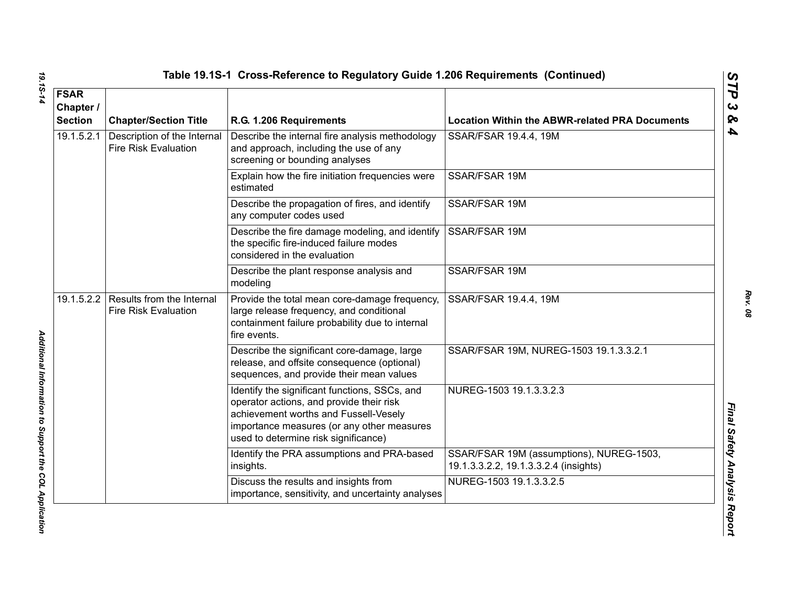| <b>FSAR</b><br>Chapter /<br><b>Section</b> | <b>Chapter/Section Title</b>                               | R.G. 1.206 Requirements                                                                                                                                                                                                  | <b>Location Within the ABWR-related PRA Documents</b>                             |
|--------------------------------------------|------------------------------------------------------------|--------------------------------------------------------------------------------------------------------------------------------------------------------------------------------------------------------------------------|-----------------------------------------------------------------------------------|
| 19.1.5.2.1                                 | Description of the Internal<br><b>Fire Risk Evaluation</b> | Describe the internal fire analysis methodology<br>and approach, including the use of any<br>screening or bounding analyses                                                                                              | SSAR/FSAR 19.4.4, 19M                                                             |
|                                            |                                                            | Explain how the fire initiation frequencies were<br>estimated                                                                                                                                                            | SSAR/FSAR 19M                                                                     |
|                                            |                                                            | Describe the propagation of fires, and identify<br>any computer codes used                                                                                                                                               | SSAR/FSAR 19M                                                                     |
|                                            |                                                            | Describe the fire damage modeling, and identify<br>the specific fire-induced failure modes<br>considered in the evaluation                                                                                               | SSAR/FSAR 19M                                                                     |
|                                            |                                                            | Describe the plant response analysis and<br>modeling                                                                                                                                                                     | SSAR/FSAR 19M                                                                     |
| 19.1.5.2.2                                 | Results from the Internal<br><b>Fire Risk Evaluation</b>   | Provide the total mean core-damage frequency,<br>large release frequency, and conditional<br>containment failure probability due to internal<br>fire events.                                                             | SSAR/FSAR 19.4.4, 19M                                                             |
|                                            |                                                            | Describe the significant core-damage, large<br>release, and offsite consequence (optional)<br>sequences, and provide their mean values                                                                                   | SSAR/FSAR 19M, NUREG-1503 19.1.3.3.2.1                                            |
|                                            |                                                            | Identify the significant functions, SSCs, and<br>operator actions, and provide their risk<br>achievement worths and Fussell-Vesely<br>importance measures (or any other measures<br>used to determine risk significance) | NUREG-1503 19.1.3.3.2.3                                                           |
|                                            |                                                            | Identify the PRA assumptions and PRA-based<br>insights.                                                                                                                                                                  | SSAR/FSAR 19M (assumptions), NUREG-1503,<br>19.1.3.3.2.2, 19.1.3.3.2.4 (insights) |
|                                            |                                                            | Discuss the results and insights from<br>importance, sensitivity, and uncertainty analyses                                                                                                                               | NUREG-1503 19.1.3.3.2.5                                                           |

Additional Information to Support the COL Application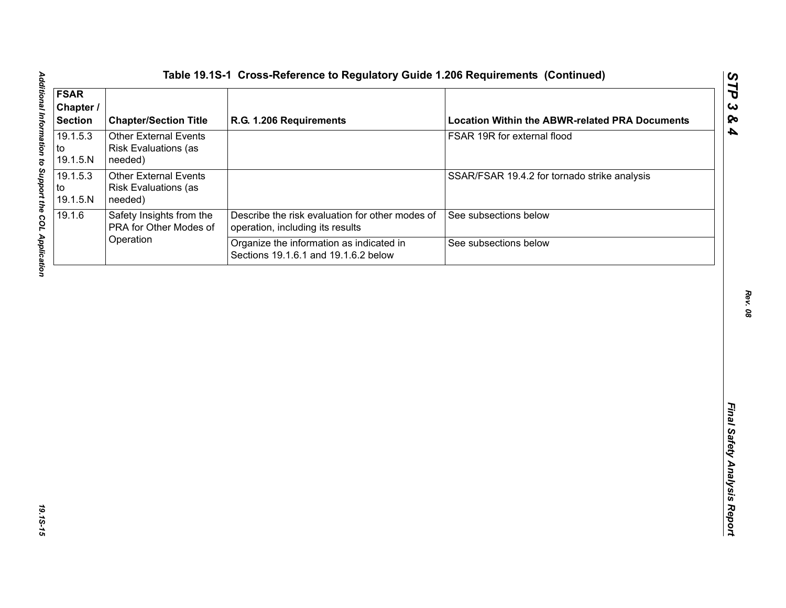| <b>FSAR</b><br>Chapter /<br><b>Section</b> | <b>Chapter/Section Title</b>                                           | R.G. 1.206 Requirements                                                             | <b>Location Within the ABWR-related PRA Documents</b> |
|--------------------------------------------|------------------------------------------------------------------------|-------------------------------------------------------------------------------------|-------------------------------------------------------|
| 19.1.5.3<br>to<br>19.1.5.N                 | <b>Other External Events</b><br>Risk Evaluations (as<br>needed)        |                                                                                     | FSAR 19R for external flood                           |
| 19.1.5.3<br>to<br>19.1.5.N                 | <b>Other External Events</b><br><b>Risk Evaluations (as</b><br>needed) |                                                                                     | SSAR/FSAR 19.4.2 for tornado strike analysis          |
| 19.1.6                                     | Safety Insights from the<br>PRA for Other Modes of                     | Describe the risk evaluation for other modes of<br>operation, including its results | See subsections below                                 |
|                                            | Operation                                                              | Organize the information as indicated in<br>Sections 19.1.6.1 and 19.1.6.2 below    | See subsections below                                 |
|                                            |                                                                        |                                                                                     |                                                       |
|                                            |                                                                        |                                                                                     |                                                       |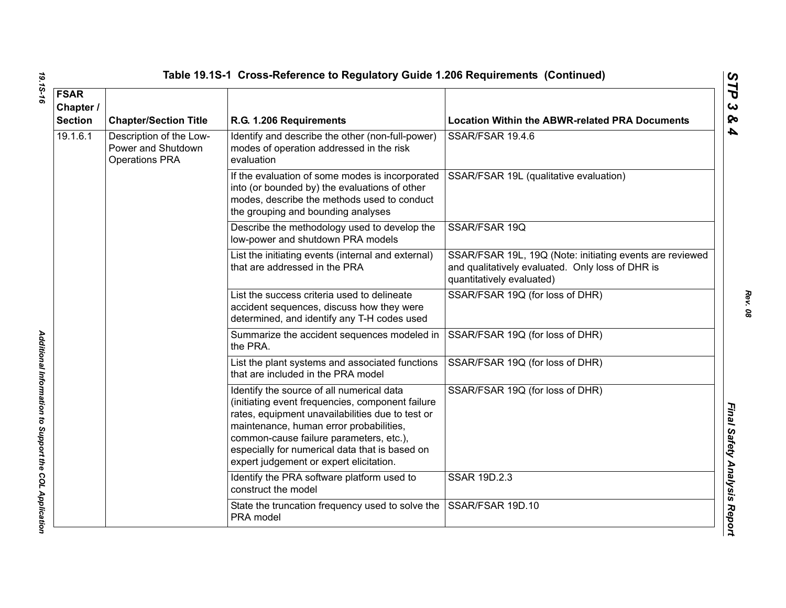| 19.15-16                      |           |                                                                                                                                                                                                                                                                                                                                      | Table 19.1S-1 Cross-Reference to Regulatory Guide 1.206 Requirements (Continued)                                                                                                      |                                                                                                                                           |
|-------------------------------|-----------|--------------------------------------------------------------------------------------------------------------------------------------------------------------------------------------------------------------------------------------------------------------------------------------------------------------------------------------|---------------------------------------------------------------------------------------------------------------------------------------------------------------------------------------|-------------------------------------------------------------------------------------------------------------------------------------------|
| <b>FSAR</b><br><b>Section</b> | Chapter / | <b>Chapter/Section Title</b>                                                                                                                                                                                                                                                                                                         | R.G. 1.206 Requirements                                                                                                                                                               | <b>Location Within the ABWR-related PRA Documents</b>                                                                                     |
| 19.1.6.1                      |           | Description of the Low-<br>Power and Shutdown<br><b>Operations PRA</b>                                                                                                                                                                                                                                                               | Identify and describe the other (non-full-power)<br>modes of operation addressed in the risk<br>evaluation                                                                            | SSAR/FSAR 19.4.6                                                                                                                          |
|                               |           |                                                                                                                                                                                                                                                                                                                                      | If the evaluation of some modes is incorporated<br>into (or bounded by) the evaluations of other<br>modes, describe the methods used to conduct<br>the grouping and bounding analyses | SSAR/FSAR 19L (qualitative evaluation)                                                                                                    |
|                               |           |                                                                                                                                                                                                                                                                                                                                      | Describe the methodology used to develop the<br>low-power and shutdown PRA models                                                                                                     | SSAR/FSAR 19Q                                                                                                                             |
|                               |           |                                                                                                                                                                                                                                                                                                                                      | List the initiating events (internal and external)<br>that are addressed in the PRA                                                                                                   | SSAR/FSAR 19L, 19Q (Note: initiating events are reviewed<br>and qualitatively evaluated. Only loss of DHR is<br>quantitatively evaluated) |
|                               |           |                                                                                                                                                                                                                                                                                                                                      | List the success criteria used to delineate<br>accident sequences, discuss how they were<br>determined, and identify any T-H codes used                                               | SSAR/FSAR 19Q (for loss of DHR)                                                                                                           |
|                               |           |                                                                                                                                                                                                                                                                                                                                      | Summarize the accident sequences modeled in<br>the PRA.                                                                                                                               | SSAR/FSAR 19Q (for loss of DHR)                                                                                                           |
|                               |           |                                                                                                                                                                                                                                                                                                                                      | List the plant systems and associated functions<br>that are included in the PRA model                                                                                                 | SSAR/FSAR 19Q (for loss of DHR)                                                                                                           |
|                               |           | Identify the source of all numerical data<br>(initiating event frequencies, component failure<br>rates, equipment unavailabilities due to test or<br>maintenance, human error probabilities,<br>common-cause failure parameters, etc.),<br>especially for numerical data that is based on<br>expert judgement or expert elicitation. | SSAR/FSAR 19Q (for loss of DHR)                                                                                                                                                       |                                                                                                                                           |
|                               |           |                                                                                                                                                                                                                                                                                                                                      | Identify the PRA software platform used to<br>construct the model                                                                                                                     | <b>SSAR 19D.2.3</b>                                                                                                                       |
|                               |           |                                                                                                                                                                                                                                                                                                                                      | State the truncation frequency used to solve the<br>PRA model                                                                                                                         | SSAR/FSAR 19D.10                                                                                                                          |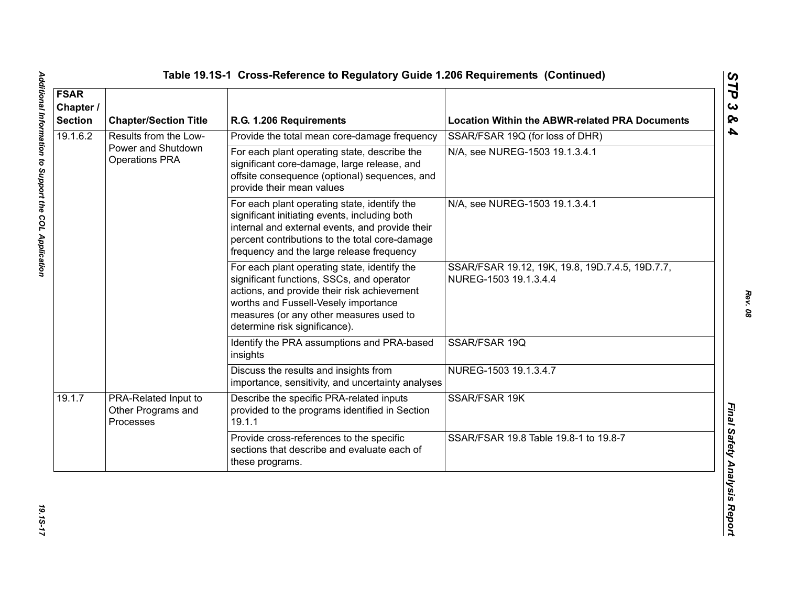| <b>FSAR</b><br>Chapter /<br><b>Section</b> | <b>Chapter/Section Title</b>                            | R.G. 1.206 Requirements                                                                                                                                                                                                                                      | <b>Location Within the ABWR-related PRA Documents</b>                    |
|--------------------------------------------|---------------------------------------------------------|--------------------------------------------------------------------------------------------------------------------------------------------------------------------------------------------------------------------------------------------------------------|--------------------------------------------------------------------------|
| 19.1.6.2                                   | Results from the Low-                                   | Provide the total mean core-damage frequency                                                                                                                                                                                                                 | SSAR/FSAR 19Q (for loss of DHR)                                          |
|                                            | Power and Shutdown<br><b>Operations PRA</b>             | For each plant operating state, describe the<br>significant core-damage, large release, and<br>offsite consequence (optional) sequences, and<br>provide their mean values                                                                                    | N/A, see NUREG-1503 19.1.3.4.1                                           |
|                                            |                                                         | For each plant operating state, identify the<br>significant initiating events, including both<br>internal and external events, and provide their<br>percent contributions to the total core-damage<br>frequency and the large release frequency              | N/A, see NUREG-1503 19.1.3.4.1                                           |
|                                            |                                                         | For each plant operating state, identify the<br>significant functions, SSCs, and operator<br>actions, and provide their risk achievement<br>worths and Fussell-Vesely importance<br>measures (or any other measures used to<br>determine risk significance). | SSAR/FSAR 19.12, 19K, 19.8, 19D.7.4.5, 19D.7.7,<br>NUREG-1503 19.1.3.4.4 |
|                                            |                                                         | Identify the PRA assumptions and PRA-based<br>insights                                                                                                                                                                                                       | SSAR/FSAR 19Q                                                            |
|                                            |                                                         | Discuss the results and insights from<br>importance, sensitivity, and uncertainty analyses                                                                                                                                                                   | NUREG-1503 19.1.3.4.7                                                    |
| 19.1.7                                     | PRA-Related Input to<br>Other Programs and<br>Processes | Describe the specific PRA-related inputs<br>provided to the programs identified in Section<br>19.1.1                                                                                                                                                         | SSAR/FSAR 19K                                                            |
|                                            |                                                         | Provide cross-references to the specific<br>sections that describe and evaluate each of<br>these programs.                                                                                                                                                   | SSAR/FSAR 19.8 Table 19.8-1 to 19.8-7                                    |

Additional Information to Support the COL Application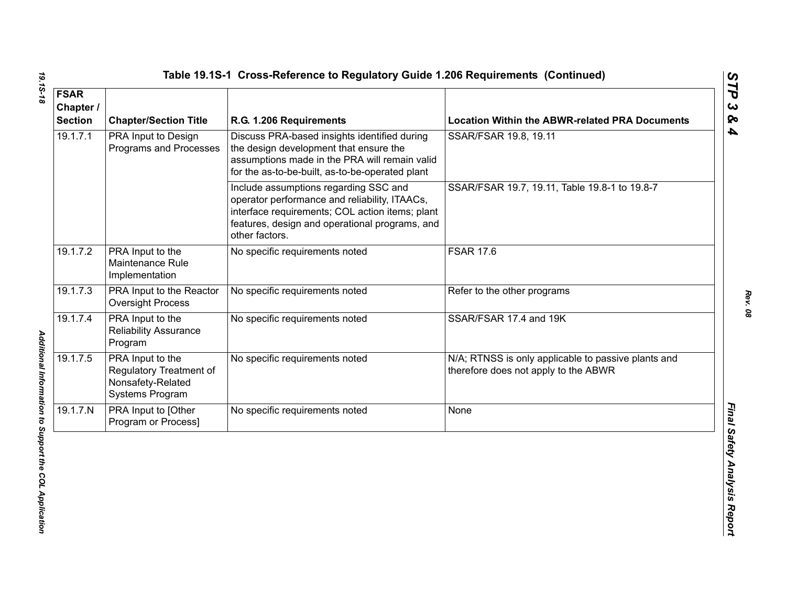| <b>FSAR</b><br>Chapter /<br><b>Section</b> | <b>Chapter/Section Title</b>                                                        | R.G. 1.206 Requirements                                                                                                                                                                                       | <b>Location Within the ABWR-related PRA Documents</b>                                       |
|--------------------------------------------|-------------------------------------------------------------------------------------|---------------------------------------------------------------------------------------------------------------------------------------------------------------------------------------------------------------|---------------------------------------------------------------------------------------------|
| 19.1.7.1                                   | PRA Input to Design<br>Programs and Processes                                       | Discuss PRA-based insights identified during<br>the design development that ensure the<br>assumptions made in the PRA will remain valid<br>for the as-to-be-built, as-to-be-operated plant                    | SSAR/FSAR 19.8, 19.11                                                                       |
|                                            |                                                                                     | Include assumptions regarding SSC and<br>operator performance and reliability, ITAACs,<br>interface requirements; COL action items; plant<br>features, design and operational programs, and<br>other factors. | SSAR/FSAR 19.7, 19.11, Table 19.8-1 to 19.8-7                                               |
| 19.1.7.2                                   | PRA Input to the<br>Maintenance Rule<br>Implementation                              | No specific requirements noted                                                                                                                                                                                | <b>FSAR 17.6</b>                                                                            |
| 19.1.7.3                                   | PRA Input to the Reactor<br><b>Oversight Process</b>                                | No specific requirements noted                                                                                                                                                                                | Refer to the other programs                                                                 |
| 19.1.7.4                                   | PRA Input to the<br><b>Reliability Assurance</b><br>Program                         | No specific requirements noted                                                                                                                                                                                | SSAR/FSAR 17.4 and 19K                                                                      |
| 19.1.7.5                                   | PRA Input to the<br>Regulatory Treatment of<br>Nonsafety-Related<br>Systems Program | No specific requirements noted                                                                                                                                                                                | N/A; RTNSS is only applicable to passive plants and<br>therefore does not apply to the ABWR |
| 19.1.7.N                                   | PRA Input to [Other<br>Program or Process]                                          | No specific requirements noted                                                                                                                                                                                | None                                                                                        |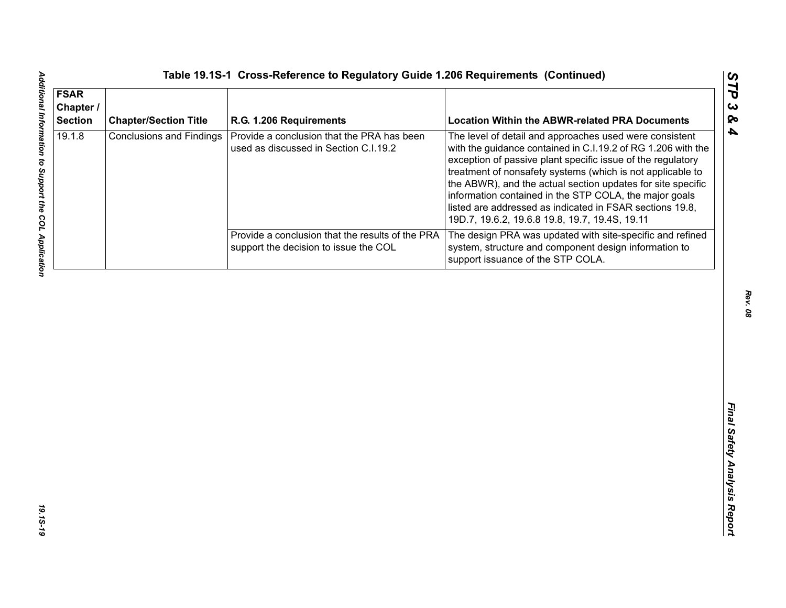| <b>FSAR</b><br>Chapter /<br><b>Section</b> | <b>Chapter/Section Title</b>    | R.G. 1.206 Requirements                                                                   | <b>Location Within the ABWR-related PRA Documents</b>                                                                                                                                                                                                                                                                                                                                                                                                                                       |
|--------------------------------------------|---------------------------------|-------------------------------------------------------------------------------------------|---------------------------------------------------------------------------------------------------------------------------------------------------------------------------------------------------------------------------------------------------------------------------------------------------------------------------------------------------------------------------------------------------------------------------------------------------------------------------------------------|
| 19.1.8                                     | <b>Conclusions and Findings</b> | Provide a conclusion that the PRA has been<br>used as discussed in Section C.I.19.2       | The level of detail and approaches used were consistent<br>with the guidance contained in C.I.19.2 of RG 1.206 with the<br>exception of passive plant specific issue of the regulatory<br>treatment of nonsafety systems (which is not applicable to<br>the ABWR), and the actual section updates for site specific<br>information contained in the STP COLA, the major goals<br>listed are addressed as indicated in FSAR sections 19.8,<br>19D.7, 19.6.2, 19.6.8 19.8, 19.7, 19.4S, 19.11 |
|                                            |                                 | Provide a conclusion that the results of the PRA<br>support the decision to issue the COL | The design PRA was updated with site-specific and refined<br>system, structure and component design information to<br>support issuance of the STP COLA.                                                                                                                                                                                                                                                                                                                                     |
|                                            |                                 |                                                                                           |                                                                                                                                                                                                                                                                                                                                                                                                                                                                                             |
|                                            |                                 |                                                                                           |                                                                                                                                                                                                                                                                                                                                                                                                                                                                                             |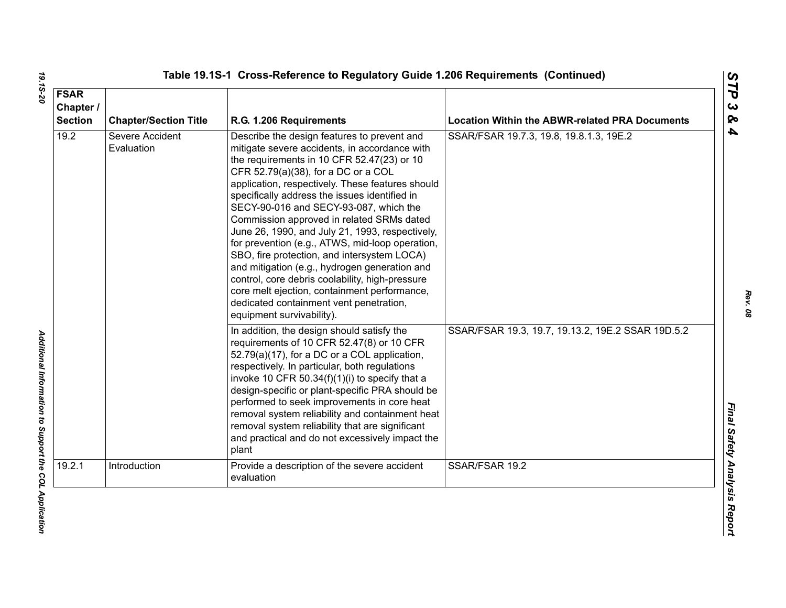| <b>FSAR</b><br>Chapter /<br><b>Section</b> | <b>Chapter/Section Title</b>  | R.G. 1.206 Requirements                                                                                                                                                                                                                                                                                                                                                                                                                                                                                                                                                                                                                                                                                                                                        | <b>Location Within the ABWR-related PRA Documents</b> |
|--------------------------------------------|-------------------------------|----------------------------------------------------------------------------------------------------------------------------------------------------------------------------------------------------------------------------------------------------------------------------------------------------------------------------------------------------------------------------------------------------------------------------------------------------------------------------------------------------------------------------------------------------------------------------------------------------------------------------------------------------------------------------------------------------------------------------------------------------------------|-------------------------------------------------------|
| 19.2                                       | Severe Accident<br>Evaluation | Describe the design features to prevent and<br>mitigate severe accidents, in accordance with<br>the requirements in 10 CFR 52.47(23) or 10<br>CFR 52.79(a)(38), for a DC or a COL<br>application, respectively. These features should<br>specifically address the issues identified in<br>SECY-90-016 and SECY-93-087, which the<br>Commission approved in related SRMs dated<br>June 26, 1990, and July 21, 1993, respectively,<br>for prevention (e.g., ATWS, mid-loop operation,<br>SBO, fire protection, and intersystem LOCA)<br>and mitigation (e.g., hydrogen generation and<br>control, core debris coolability, high-pressure<br>core melt ejection, containment performance,<br>dedicated containment vent penetration,<br>equipment survivability). | SSAR/FSAR 19.7.3, 19.8, 19.8.1.3, 19E.2               |
|                                            |                               | In addition, the design should satisfy the<br>requirements of 10 CFR 52.47(8) or 10 CFR<br>52.79(a)(17), for a DC or a COL application,<br>respectively. In particular, both regulations<br>invoke 10 CFR 50.34(f)(1)(i) to specify that a<br>design-specific or plant-specific PRA should be<br>performed to seek improvements in core heat<br>removal system reliability and containment heat<br>removal system reliability that are significant<br>and practical and do not excessively impact the<br>plant                                                                                                                                                                                                                                                 | SSAR/FSAR 19.3, 19.7, 19.13.2, 19E.2 SSAR 19D.5.2     |
| 19.2.1                                     | Introduction                  | Provide a description of the severe accident<br>evaluation                                                                                                                                                                                                                                                                                                                                                                                                                                                                                                                                                                                                                                                                                                     | SSAR/FSAR 19.2                                        |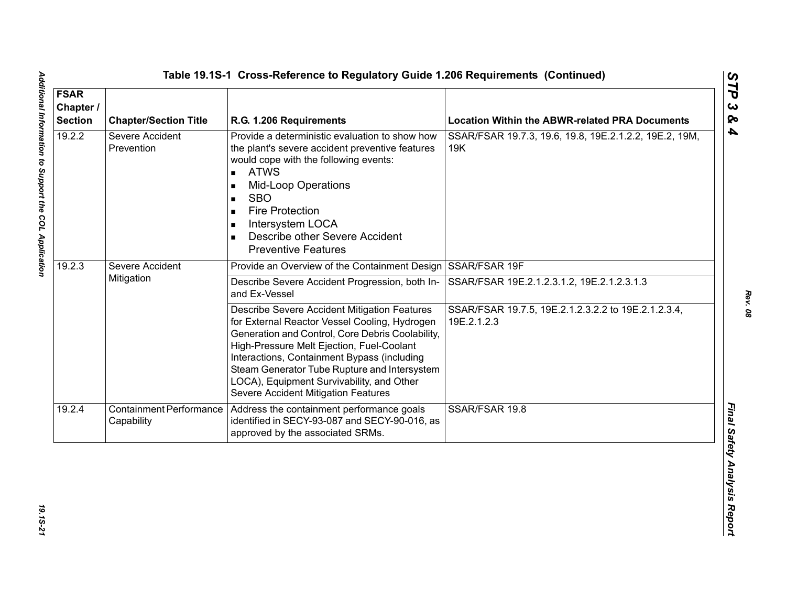| <b>FSAR</b><br>Chapter /<br><b>Section</b> | <b>Chapter/Section Title</b>                 | R.G. 1.206 Requirements                                                                                                                                                                                                                                                                                                                                                           | <b>Location Within the ABWR-related PRA Documents</b>              |
|--------------------------------------------|----------------------------------------------|-----------------------------------------------------------------------------------------------------------------------------------------------------------------------------------------------------------------------------------------------------------------------------------------------------------------------------------------------------------------------------------|--------------------------------------------------------------------|
| 19.2.2                                     | Severe Accident<br>Prevention                | Provide a deterministic evaluation to show how<br>the plant's severe accident preventive features<br>would cope with the following events:<br><b>ATWS</b><br>$\blacksquare$<br><b>Mid-Loop Operations</b><br><b>SBO</b><br><b>Fire Protection</b><br>Intersystem LOCA<br>Describe other Severe Accident<br><b>Preventive Features</b>                                             | SSAR/FSAR 19.7.3, 19.6, 19.8, 19E.2.1.2.2, 19E.2, 19M,<br>19K      |
| 19.2.3                                     | Severe Accident<br>Mitigation                | Provide an Overview of the Containment Design SSAR/FSAR 19F                                                                                                                                                                                                                                                                                                                       |                                                                    |
|                                            |                                              | Describe Severe Accident Progression, both In-<br>and Ex-Vessel                                                                                                                                                                                                                                                                                                                   | SSAR/FSAR 19E.2.1.2.3.1.2, 19E.2.1.2.3.1.3                         |
|                                            |                                              | Describe Severe Accident Mitigation Features<br>for External Reactor Vessel Cooling, Hydrogen<br>Generation and Control, Core Debris Coolability,<br>High-Pressure Melt Ejection, Fuel-Coolant<br>Interactions, Containment Bypass (including<br>Steam Generator Tube Rupture and Intersystem<br>LOCA), Equipment Survivability, and Other<br>Severe Accident Mitigation Features | SSAR/FSAR 19.7.5, 19E.2.1.2.3.2.2 to 19E.2.1.2.3.4,<br>19E.2.1.2.3 |
| 19.2.4                                     | <b>Containment Performance</b><br>Capability | Address the containment performance goals<br>identified in SECY-93-087 and SECY-90-016, as<br>approved by the associated SRMs.                                                                                                                                                                                                                                                    | SSAR/FSAR 19.8                                                     |

19.15-21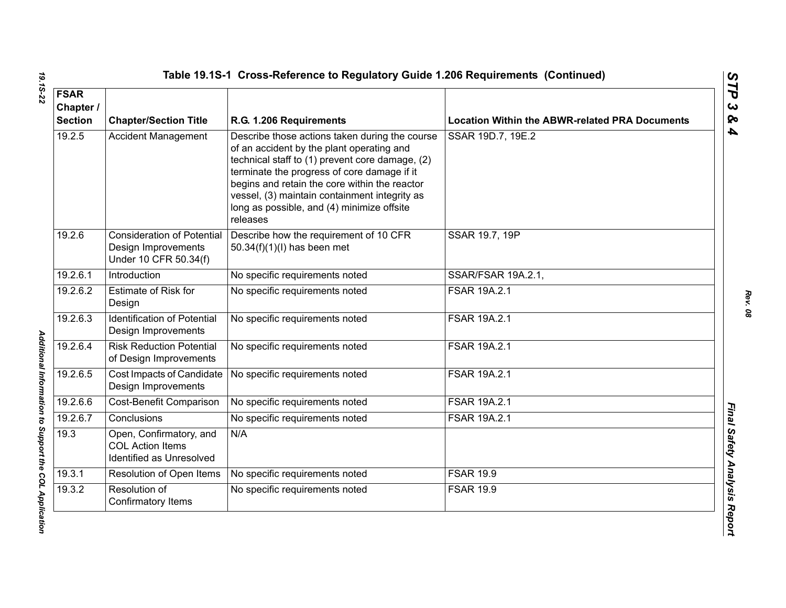| <b>FSAR</b><br>Chapter /<br><b>Section</b> | <b>Chapter/Section Title</b>                                                      | R.G. 1.206 Requirements                                                                                                                                                                                                                                                                                                                                   | <b>Location Within the ABWR-related PRA Documents</b> |
|--------------------------------------------|-----------------------------------------------------------------------------------|-----------------------------------------------------------------------------------------------------------------------------------------------------------------------------------------------------------------------------------------------------------------------------------------------------------------------------------------------------------|-------------------------------------------------------|
| 19.2.5                                     | <b>Accident Management</b>                                                        | Describe those actions taken during the course<br>of an accident by the plant operating and<br>technical staff to (1) prevent core damage, (2)<br>terminate the progress of core damage if it<br>begins and retain the core within the reactor<br>vessel, (3) maintain containment integrity as<br>long as possible, and (4) minimize offsite<br>releases | SSAR 19D.7, 19E.2                                     |
| 19.2.6                                     | <b>Consideration of Potential</b><br>Design Improvements<br>Under 10 CFR 50.34(f) | Describe how the requirement of 10 CFR<br>50.34(f)(1)(l) has been met                                                                                                                                                                                                                                                                                     | SSAR 19.7, 19P                                        |
| 19.2.6.1                                   | Introduction                                                                      | No specific requirements noted                                                                                                                                                                                                                                                                                                                            | SSAR/FSAR 19A.2.1,                                    |
| 19.2.6.2                                   | <b>Estimate of Risk for</b><br>Design                                             | No specific requirements noted                                                                                                                                                                                                                                                                                                                            | FSAR 19A.2.1                                          |
| 19.2.6.3                                   | <b>Identification of Potential</b><br>Design Improvements                         | No specific requirements noted                                                                                                                                                                                                                                                                                                                            | FSAR 19A.2.1                                          |
| 19.2.6.4                                   | <b>Risk Reduction Potential</b><br>of Design Improvements                         | No specific requirements noted                                                                                                                                                                                                                                                                                                                            | <b>FSAR 19A.2.1</b>                                   |
| 19.2.6.5                                   | Cost Impacts of Candidate<br>Design Improvements                                  | No specific requirements noted                                                                                                                                                                                                                                                                                                                            | FSAR 19A.2.1                                          |
| 19.2.6.6                                   | Cost-Benefit Comparison                                                           | No specific requirements noted                                                                                                                                                                                                                                                                                                                            | <b>FSAR 19A.2.1</b>                                   |
| 19.2.6.7                                   | Conclusions                                                                       | No specific requirements noted                                                                                                                                                                                                                                                                                                                            | <b>FSAR 19A.2.1</b>                                   |
| 19.3                                       | Open, Confirmatory, and<br><b>COL Action Items</b><br>Identified as Unresolved    | N/A                                                                                                                                                                                                                                                                                                                                                       |                                                       |
| 19.3.1                                     | Resolution of Open Items                                                          | No specific requirements noted                                                                                                                                                                                                                                                                                                                            | <b>FSAR 19.9</b>                                      |
| 19.3.2                                     | Resolution of<br>Confirmatory Items                                               | No specific requirements noted                                                                                                                                                                                                                                                                                                                            | <b>FSAR 19.9</b>                                      |

Additional Information to Support the COL Application